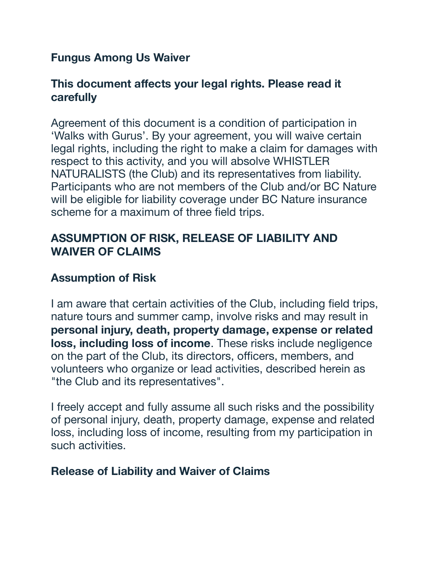### **Fungus Among Us Waiver**

## **This document affects your legal rights. Please read it carefully**

Agreement of this document is a condition of participation in 'Walks with Gurus'. By your agreement, you will waive certain legal rights, including the right to make a claim for damages with respect to this activity, and you will absolve WHISTLER NATURALISTS (the Club) and its representatives from liability. Participants who are not members of the Club and/or BC Nature will be eligible for liability coverage under BC Nature insurance scheme for a maximum of three field trips.

# **ASSUMPTION OF RISK, RELEASE OF LIABILITY AND WAIVER OF CLAIMS**

# **Assumption of Risk**

I am aware that certain activities of the Club, including field trips, nature tours and summer camp, involve risks and may result in **personal injury, death, property damage, expense or related loss, including loss of income**. These risks include negligence on the part of the Club, its directors, officers, members, and volunteers who organize or lead activities, described herein as "the Club and its representatives".

I freely accept and fully assume all such risks and the possibility of personal injury, death, property damage, expense and related loss, including loss of income, resulting from my participation in such activities.

### **Release of Liability and Waiver of Claims**